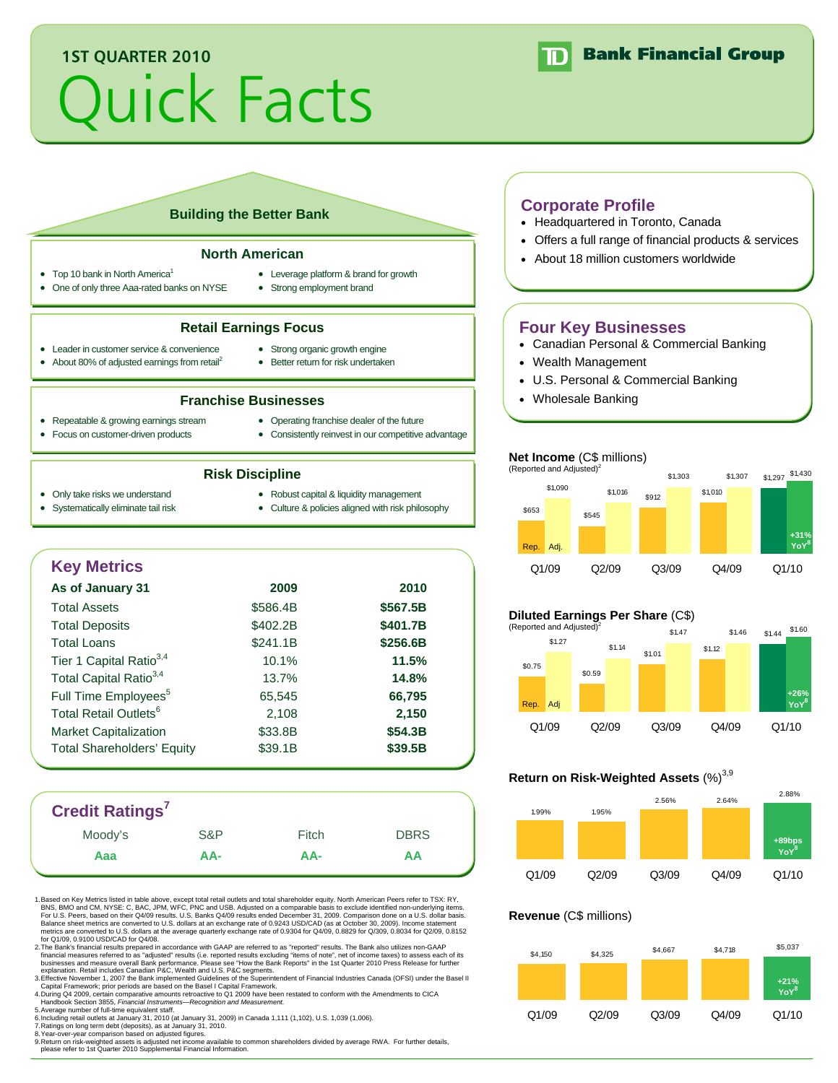# Quick Facts **1ST QUARTER 2010**



#### **Building the Better Bank**

#### **North American**

- Top 10 bank in North America<sup>1</sup>
- Leverage platform & brand for growth
- One of only three Aaa-rated banks on NYSE
- Strong employment brand
- **Retail Earnings Focus**
- Leader in customer service & convenience • About 80% of adjusted earnings from retail<sup>2</sup>
- Strong organic growth engine • Better return for risk undertaken
- - **Franchise Businesses**
- Repeatable & growing earnings stream
- 
- Focus on customer-driven products
- Consistently reinvest in our competitive advantage
- **Risk Discipline**
- Only take risks we understand
- Robust capital & liquidity management
- Systematically eliminate tail risk
- 
- 

# Culture & policies aligned with risk philosophy

**Key Metrics As of January 31 2009 2010**  Total Assets \$586.4B **\$567.5B** Total Deposits \$402.2B **\$401.7B** Total Loans \$241.1B **\$256.6B** Tier 1 Capital Ratio3,4 10.1% **11.5%** Total Capital Ratio3,4 13.7% **14.8%** Full Time Employees<sup>5</sup> 65,545 **66,795** Total Retail Outlets<sup>6</sup> 2,108 **2,150** Market Capitalization  $$33.8B$  **\$54.3B** Total Shareholders' Equity **\$39.1B** \$39.5B

# **Credit Ratings7**

| Grean Natiliya |     |       |             |
|----------------|-----|-------|-------------|
| Moody's        | S&P | Fitch | <b>DBRS</b> |
| Aaa            | AA- | AA-   | ΑА          |
|                |     |       |             |

1. Based on Key Metrics listed in table above, except total retail outlets and total shareholder equity. North American Peers refer to TSX: RY, BNS, BMO and CM, NYSE: C, BAC, JPM, WFC, PNC and USB. Adjusted on a comparable basis to exclude identified non-underlying items.<br>For U.S. Peers, based on their Q4/09 results. U.S. Banks Q4/09 results ended December 31, 200 Balance sheet metrics are converted to U.S. dollars at an exchange rate of 0.9243 USD/CAD (as at October 30, 2009). Income statement<br>metrics are converted to U.S. dollars at the average quarterly exchange rate of 0.9304 fo

2. The Bank's financial results prepared in accordance with GAAP are referred to as "reported" results. The Bank also utilizes non-GAAP financial measures referred to as "adjusted" results (i.e. reported results excluding "items of note", net of income taxes) to assess each of its<br>businesses and measure overall Bank performance. Please see "How the Bank Re

explanation. Retail includes Canadian P&C, Wealth and U.S. P&C segments.<br>3.Effective November 1, 2007 the Bank implemented Guidelines of the Superintendent of Financial Industries Canada (OFSI) under the Basel II<br>○Capital

4. During Q4 2009, certain comparative amounts retroactive to Q1 2009 have been restated to conform with the Amendments to CICA \_ Handbook Section 3855*, Financial Instruments—Recognition and Measurement.*<br>5.Average number of full-time equivalent staff.<br>6.Including retail outlets at January 31, 2010 (at January 31, 2009) in Canada 1,111 (1,102), U

- 
- 7. Ratings on long term debt (deposits), as at January 31, 2010.

8. Year-over-year comparison based on adjusted figures.

9. Return on risk-weighted assets is adjusted net income available to common shareholders divided by average RWA. For further details, please refer to 1st Quarter 2010 Supplemental Financial Information.

### **Corporate Profile**

- Headquartered in Toronto, Canada
- Offers a full range of financial products & services
- About 18 million customers worldwide

# **Four Key Businesses**

- Canadian Personal & Commercial Banking
- Wealth Management
- U.S. Personal & Commercial Banking
- Wholesale Banking

#### **Net Income** (C\$ millions)



#### **Diluted Earnings Per Share** (C\$)



#### **Return on Risk-Weighted Assets (%)**<sup>3,9</sup>



#### **Revenue** (C\$ millions)



# Operating franchise dealer of the future